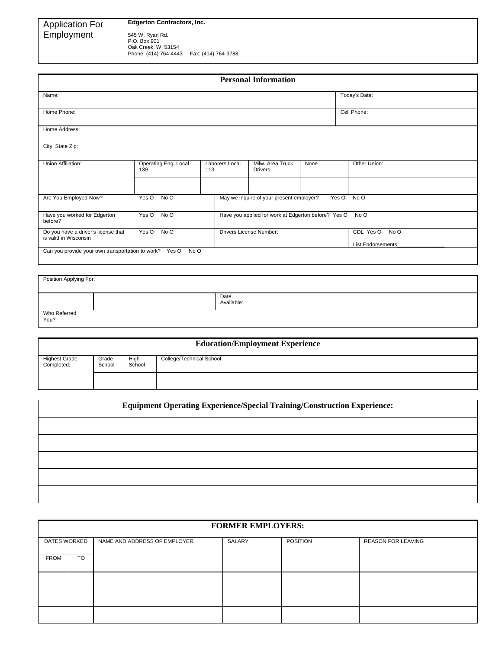## Application For **Edgerton Contractors, Inc.**

Employment

545 W. Ryan Rd.<br>P.O. Box 901<br>Oak Creek, WI 53154<br>Phone: (414) 764-4443 Fax: (414) 764-9788

|                                                                               |                             |                         |                                                     | <b>Personal Information</b>              |                                               |       |               |
|-------------------------------------------------------------------------------|-----------------------------|-------------------------|-----------------------------------------------------|------------------------------------------|-----------------------------------------------|-------|---------------|
| Name:                                                                         |                             |                         |                                                     |                                          |                                               |       | Today's Date: |
| Home Phone:                                                                   |                             |                         |                                                     |                                          |                                               |       | Cell Phone:   |
| Home Address:                                                                 |                             |                         |                                                     |                                          |                                               |       |               |
| City, State Zip:                                                              |                             |                         |                                                     |                                          |                                               |       |               |
| Union Affiliation:                                                            | Operating Eng. Local<br>139 | 113                     | Laborers Local                                      | Milw. Area Truck<br><b>Drivers</b>       | None                                          |       | Other Union:  |
|                                                                               |                             |                         |                                                     |                                          |                                               |       |               |
| Are You Employed Now?                                                         | Yes O<br>No O               |                         |                                                     | May we inquire of your present employer? |                                               | Yes O | No O          |
| Have you worked for Edgerton<br>Yes O<br>No O<br>before?                      |                             |                         | Have you applied for work at Edgerton before? Yes O |                                          |                                               | No O  |               |
| Do you have a driver's license that<br>Yes O<br>No O<br>is valid in Wisconsin |                             | Drivers License Number: |                                                     |                                          | CDL Yes O<br>No O<br><b>List Endorsements</b> |       |               |

| Position Applying For: |  |                    |  |  |  |
|------------------------|--|--------------------|--|--|--|
|                        |  | Date<br>Available: |  |  |  |
| Who Referred<br>You?   |  |                    |  |  |  |

| <b>Education/Employment Experience</b> |                 |                |                          |  |
|----------------------------------------|-----------------|----------------|--------------------------|--|
| <b>Highest Grade</b><br>Completed:     | Grade<br>School | High<br>School | College/Technical School |  |
|                                        |                 |                |                          |  |

| Equipment Operating Experience/Special Training/Construction Experience: |  |  |  |  |
|--------------------------------------------------------------------------|--|--|--|--|
|                                                                          |  |  |  |  |
|                                                                          |  |  |  |  |
|                                                                          |  |  |  |  |
|                                                                          |  |  |  |  |
|                                                                          |  |  |  |  |

| <b>FORMER EMPLOYERS:</b> |           |                              |        |                 |                    |
|--------------------------|-----------|------------------------------|--------|-----------------|--------------------|
| DATES WORKED             |           | NAME AND ADDRESS OF EMPLOYER | SALARY | <b>POSITION</b> | REASON FOR LEAVING |
| <b>FROM</b>              | <b>TO</b> |                              |        |                 |                    |
|                          |           |                              |        |                 |                    |
|                          |           |                              |        |                 |                    |
|                          |           |                              |        |                 |                    |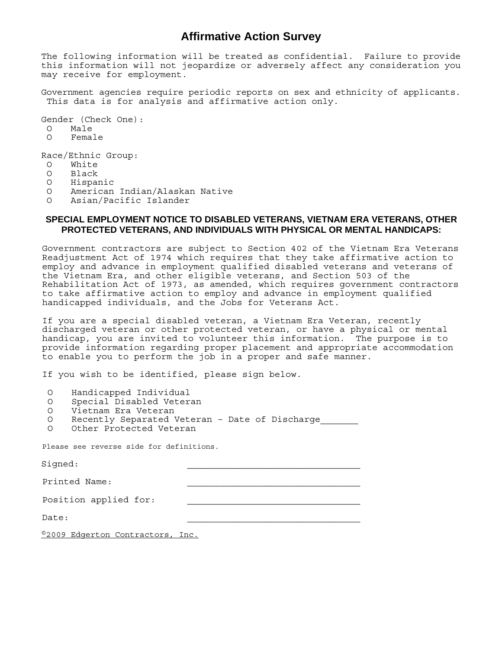## **Affirmative Action Survey**

The following information will be treated as confidential. Failure to provide this information will not jeopardize or adversely affect any consideration you may receive for employment.

Government agencies require periodic reports on sex and ethnicity of applicants. This data is for analysis and affirmative action only.

Gender (Check One):

O Male

O Female

Race/Ethnic Group:

- O White
- O Black
- O Hispanic
- O American Indian/Alaskan Native
- O Asian/Pacific Islander

## **SPECIAL EMPLOYMENT NOTICE TO DISABLED VETERANS, VIETNAM ERA VETERANS, OTHER PROTECTED VETERANS, AND INDIVIDUALS WITH PHYSICAL OR MENTAL HANDICAPS:**

Government contractors are subject to Section 402 of the Vietnam Era Veterans Readjustment Act of 1974 which requires that they take affirmative action to employ and advance in employment qualified disabled veterans and veterans of the Vietnam Era, and other eligible veterans, and Section 503 of the Rehabilitation Act of 1973, as amended, which requires government contractors to take affirmative action to employ and advance in employment qualified handicapped individuals, and the Jobs for Veterans Act.

If you are a special disabled veteran, a Vietnam Era Veteran, recently discharged veteran or other protected veteran, or have a physical or mental handicap, you are invited to volunteer this information. The purpose is to provide information regarding proper placement and appropriate accommodation to enable you to perform the job in a proper and safe manner.

If you wish to be identified, please sign below.

- O Handicapped Individual
- O Special Disabled Veteran
- O Vietnam Era Veteran
- O Recently Separated Veteran Date of Discharge
- O Other Protected Veteran

Please see reverse side for definitions.

| Signed:               |  |
|-----------------------|--|
| Printed Name:         |  |
| Position applied for: |  |
| Date:                 |  |
| $@0000$ $\Box$        |  |

©2009 Edgerton Contractors, Inc.